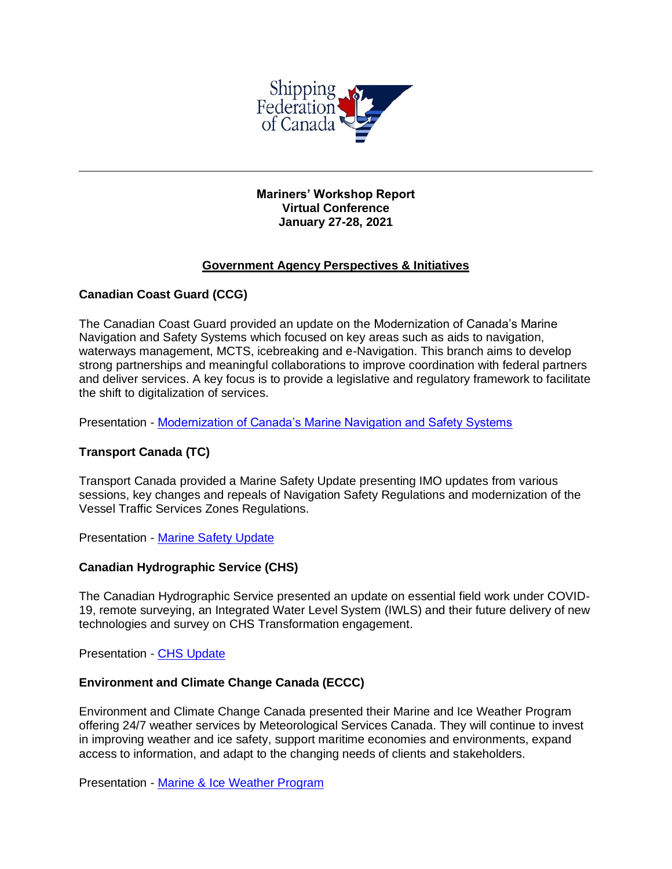

### **Mariners' Workshop Report Virtual Conference January 27-28, 2021**

# **Government Agency Perspectives & Initiatives**

## **Canadian Coast Guard (CCG)**

The Canadian Coast Guard provided an update on the Modernization of Canada's Marine Navigation and Safety Systems which focused on key areas such as aids to navigation, waterways management, MCTS, icebreaking and e-Navigation. This branch aims to develop strong partnerships and meaningful collaborations to improve coordination with federal partners and deliver services. A key focus is to provide a legislative and regulatory framework to facilitate the shift to digitalization of services.

Presentation - [Modernization of Canada's Marine Navigation and Safety Systems](file:///C:/Users/mclark/Documents/Mariners)

# **Transport Canada (TC)**

Transport Canada provided a Marine Safety Update presenting IMO updates from various sessions, key changes and repeals of Navigation Safety Regulations and modernization of the Vessel Traffic Services Zones Regulations.

Presentation - [Marine Safety Update](file:///C:/Users/mclark/Documents/Mariners)

### **Canadian Hydrographic Service (CHS)**

The Canadian Hydrographic Service presented an update on essential field work under COVID-19, remote surveying, an Integrated Water Level System (IWLS) and their future delivery of new technologies and survey on CHS Transformation engagement.

Presentation - [CHS Update](file:///C:/Users/mclark/Documents/Mariners)

### **Environment and Climate Change Canada (ECCC)**

Environment and Climate Change Canada presented their Marine and Ice Weather Program offering 24/7 weather services by Meteorological Services Canada. They will continue to invest in improving weather and ice safety, support maritime economies and environments, expand access to information, and adapt to the changing needs of clients and stakeholders.

Presentation - [Marine & Ice Weather Program](file:///C:/Users/mclark/Documents/Mariners)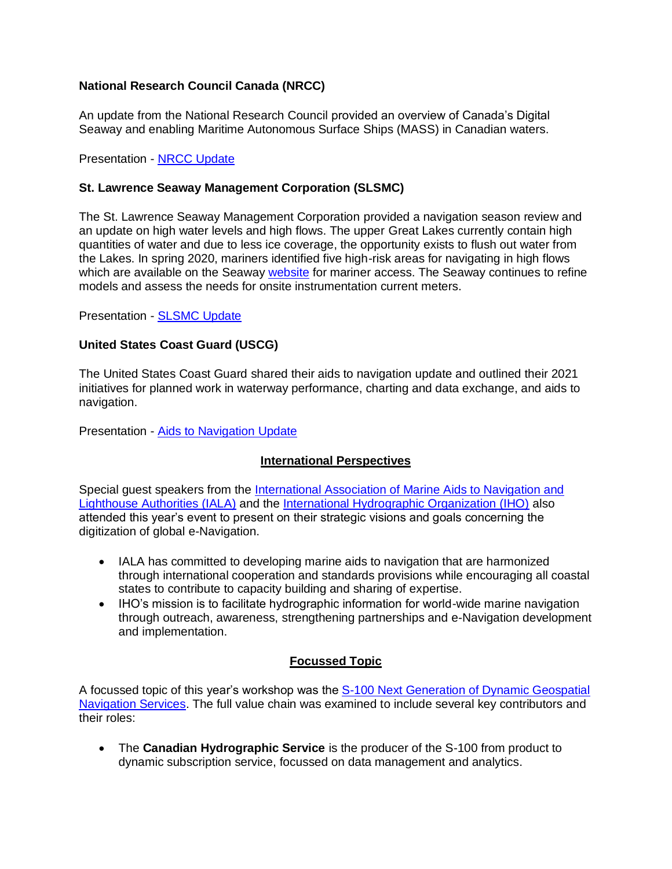## **National Research Council Canada (NRCC)**

An update from the National Research Council provided an overview of Canada's Digital Seaway and enabling Maritime Autonomous Surface Ships (MASS) in Canadian waters.

Presentation - [NRCC Update](file:///C:/Users/mclark/Documents/Mariners)

### **St. Lawrence Seaway Management Corporation (SLSMC)**

The St. Lawrence Seaway Management Corporation provided a navigation season review and an update on high water levels and high flows. The upper Great Lakes currently contain high quantities of water and due to less ice coverage, the opportunity exists to flush out water from the Lakes. In spring 2020, mariners identified five high-risk areas for navigating in high flows which are available on the Seaway [website](https://www.glslw-glvm.com/R2/jsp/R2.jsp?language=E&loc=EV00.jsp) for mariner access. The Seaway continues to refine models and assess the needs for onsite instrumentation current meters.

Presentation - [SLSMC Update](file:///C:/Users/mclark/Documents/Mariners)

### **United States Coast Guard (USCG)**

The United States Coast Guard shared their aids to navigation update and outlined their 2021 initiatives for planned work in waterway performance, charting and data exchange, and aids to navigation.

Presentation - [Aids to Navigation Update](file:///C:/Users/mclark/Documents/Mariners)

### **International Perspectives**

Special guest speakers from the [International Association of Marine Aids to Navigation and](file:///C:/Users/mclark/Documents/Mariners)  [Lighthouse Authorities \(IALA\)](file:///C:/Users/mclark/Documents/Mariners) and the [International Hydrographic Organization \(IHO\)](file:///C:/Users/mclark/Documents/Mariners) also attended this year's event to present on their strategic visions and goals concerning the digitization of global e-Navigation.

- IALA has committed to developing marine aids to navigation that are harmonized through international cooperation and standards provisions while encouraging all coastal states to contribute to capacity building and sharing of expertise.
- IHO's mission is to facilitate hydrographic information for world-wide marine navigation through outreach, awareness, strengthening partnerships and e-Navigation development and implementation.

# **Focussed Topic**

A focussed topic of this year's workshop was the [S-100 Next Generation of Dynamic Geospatial](file:///C:/Users/mclark/Documents/Mariners)  [Navigation Services.](file:///C:/Users/mclark/Documents/Mariners) The full value chain was examined to include several key contributors and their roles:

• The **Canadian Hydrographic Service** is the producer of the S-100 from product to dynamic subscription service, focussed on data management and analytics.